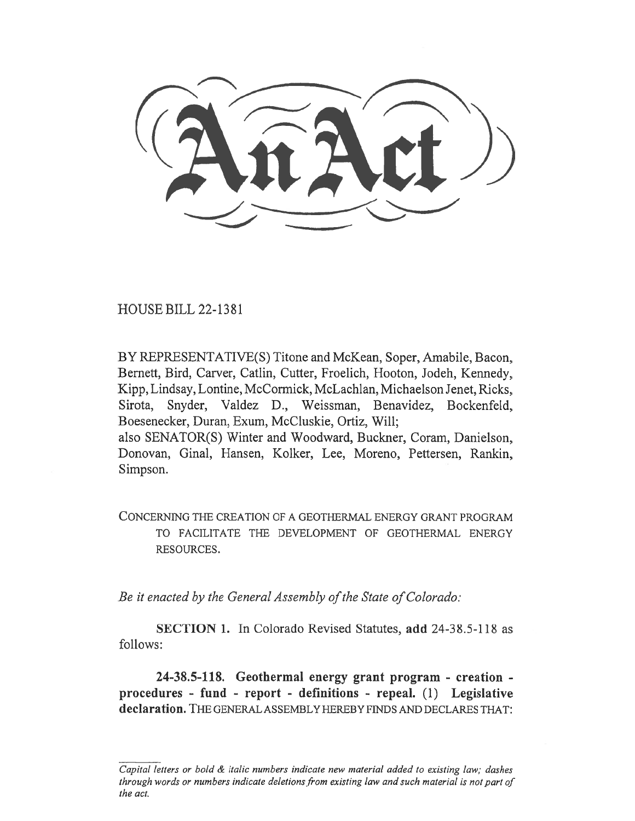iclitrd))

HOUSE BILL 22-1381

BY REPRESENTATIVE(S) Titone and McKean, Soper, Amabile, Bacon, Bernett, Bird, Carver, Catlin, Cutter, Froelich, Hooton, Jodeh, Kennedy, Kipp, Lindsay, Lontine, McCormick, McLachlan, Michaelson Jenet, Ricks, Sirota, Snyder, Valdez D., Weissman, Benavidez, Bockenfeld, Boesenecker, Duran, Exum, McCluskie, Ortiz, Will; also SENATOR(S) Winter and Woodward, Buckner, Coram, Danielson, Donovan, Ginal, Hansen, Kolker, Lee, Moreno, Pettersen, Rankin, Simpson.

CONCERNING THE CREATION OF A GEOTHERMAL ENERGY GRANT PROGRAM TO FACILITATE THE DEVELOPMENT OF GEOTHERMAL ENERGY RESOURCES.

Be it enacted by the General Assembly of the State of Colorado:

SECTION 1. In Colorado Revised Statutes, add 24-38.5-118 as follows:

24-38.5-118. Geothermal energy grant program - creation procedures - fund - report - definitions - repeal. (1) Legislative declaration. THE GENERAL ASSEMBLY HEREBY FINDS AND DECLARES THAT:

Capital letters or bold & italic numbers indicate new material added to existing law; dashes through words or numbers indicate deletions from existing law and such material is not part of the act.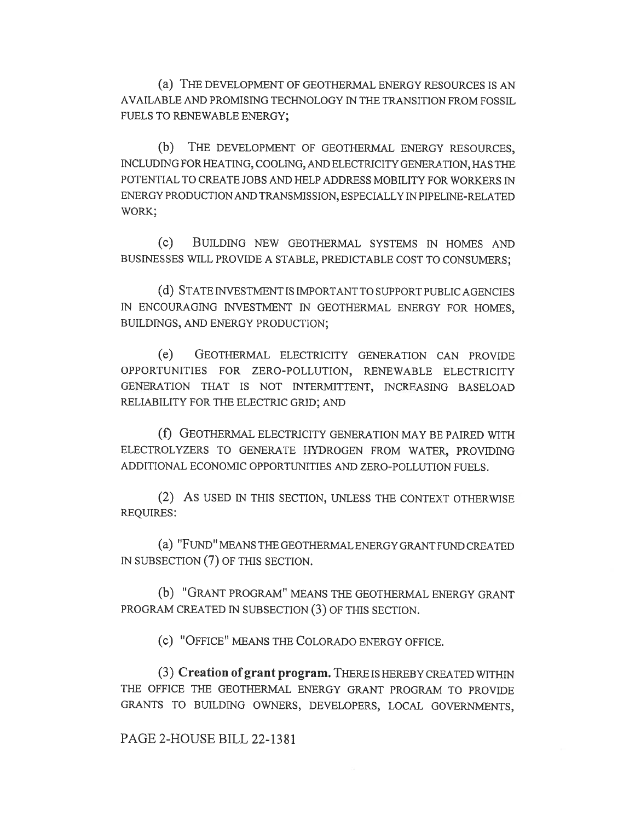(a) THE DEVELOPMENT OF GEOTHERMAL ENERGY RESOURCES IS AN AVAILABLE AND PROMISING TECHNOLOGY IN THE TRANSITION FROM FOSSIL FUELS TO RENEWABLE ENERGY;

(b) THE DEVELOPMENT OF GEOTHERMAL ENERGY RESOURCES, INCLUDING FOR HEATING, COOLING, AND ELECTRICITY GENERATION, HAS THE POTENTIAL TO CREATE JOBS AND HELP ADDRESS MOBILITY FOR WORKERS IN ENERGY PRODUCTION AND TRANSMISSION, ESPECIALLY IN PIPELINE-RELATED WORK;

(c) BUILDING NEW GEOTHERMAL SYSTEMS IN HOMES AND BUSINESSES WILL PROVIDE A STABLE, PREDICTABLE COST TO CONSUMERS;

(d) STATE INVESTMENT IS IMPORTANT TO SUPPORT PUBLIC AGENCIES IN ENCOURAGING INVESTMENT IN GEOTHERMAL ENERGY FOR HOMES, BUILDINGS, AND ENERGY PRODUCTION;

(e) GEOTHERMAL ELECTRICITY GENERATION CAN PROVIDE OPPORTUNITIES FOR ZERO-POLLUTION, RENEWABLE ELECTRICITY GENERATION THAT IS NOT INTERMITTENT, INCREASING BASELOAD RELIABILITY FOR THE ELECTRIC GRID; AND

(f) GEOTHERMAL ELECTRICITY GENERATION MAY BE PAIRED WITH ELECTROLYZERS TO GENERATE HYDROGEN FROM WATER, PROVIDING ADDITIONAL ECONOMIC OPPORTUNITIES AND ZERO-POLLUTION FUELS.

(2) AS USED IN THIS SECTION, UNLESS THE CONTEXT OTHERWISE REQUIRES:

(a) "FUND" MEANS THE GEOTHERMAL ENERGY GRANT FUND CREATED IN SUBSECTION (7) OF THIS SECTION.

(b) "GRANT PROGRAM" MEANS THE GEOTHERMAL ENERGY GRANT PROGRAM CREATED IN SUBSECTION (3) OF THIS SECTION.

(c) "OFFICE" MEANS THE COLORADO ENERGY OFFICE.

(3) Creation of grant program. THERE IS HEREBY CREATED WITHIN THE OFFICE THE GEOTHERMAL ENERGY GRANT PROGRAM TO PROVIDE GRANTS TO BUILDING OWNERS, DEVELOPERS, LOCAL GOVERNMENTS,

PAGE 2-HOUSE BILL 22-1381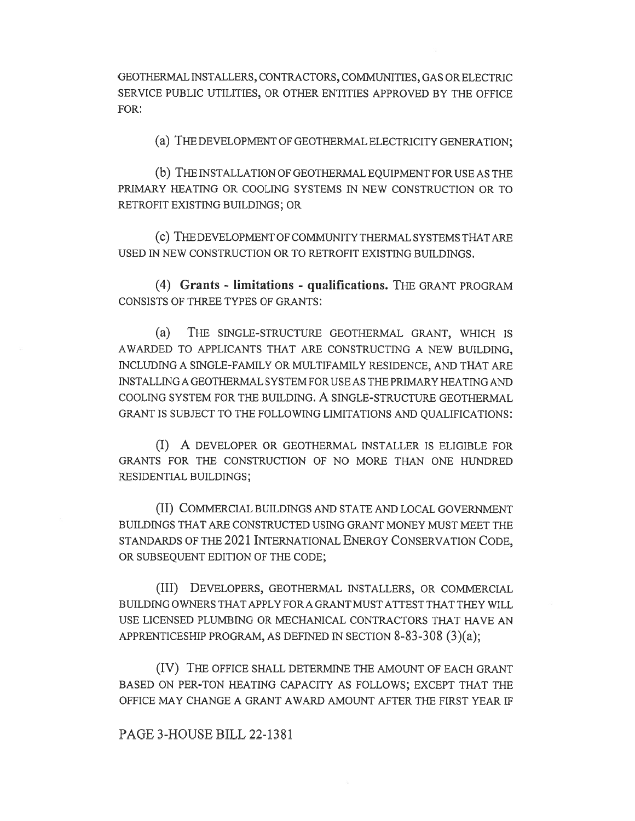GEOTHERMAL INSTALLERS, CONTRACTORS, COMMUNITIES, GAS OR ELECTRIC SERVICE PUBLIC UTILITIES, OR OTHER ENTITIES APPROVED BY THE OFFICE FOR:

(a) THE DEVELOPMENT OF GEOTHERMAL ELECTRICITY GENERATION;

(b) THE INSTALLATION OF GEOTHERMAL EQUIPMENT FOR USE AS THE PRIMARY HEATING OR COOLING SYSTEMS IN NEW CONSTRUCTION OR TO RETROFIT EXISTING BUILDINGS; OR

(c) THE DEVELOPMENT OF COMMUNITY THERMAL SYSTEMS THAT ARE USED IN NEW CONSTRUCTION OR TO RETROFIT EXISTING BUILDINGS.

(4) Grants - limitations - qualifications. THE GRANT PROGRAM CONSISTS OF THREE TYPES OF GRANTS:

(a) THE SINGLE-STRUCTURE GEOTHERMAL GRANT, WHICH IS AWARDED TO APPLICANTS THAT ARE CONSTRUCTING A NEW BUILDING, INCLUDING A SINGLE-FAMILY OR MULTIFAMILY RESIDENCE, AND THAT ARE INSTALLING A GEOTHERMAL SYSTEM FOR USE AS THE PRIMARY HEATING AND COOLING SYSTEM FOR THE BUILDING. A SINGLE-STRUCTURE GEOTHERMAL GRANT IS SUBJECT TO THE FOLLOWING LIMITATIONS AND QUALIFICATIONS:

(I) A DEVELOPER OR GEOTHERMAL INSTALLER IS ELIGIBLE FOR GRANTS FOR THE CONSTRUCTION OF NO MORE THAN ONE HUNDRED RESIDENTIAL BUILDINGS;

(II) COMMERCIAL BUILDINGS AND STATE AND LOCAL GOVERNMENT BUILDINGS THAT ARE CONSTRUCTED USING GRANT MONEY MUST MEET THE STANDARDS OF THE 2021 INTERNATIONAL ENERGY CONSERVATION CODE, OR SUBSEQUENT EDITION OF THE CODE;

(III) DEVELOPERS, GEOTHERMAL INSTALLERS, OR COMMERCIAL BUILDING OWNERS THAT APPLY FOR A GRANT MUST ATTEST THAT THEY WILL USE LICENSED PLUMBING OR MECHANICAL CONTRACTORS THAT HAVE AN APPRENTICESHIP PROGRAM, AS DEFINED IN SECTION 8-83-308 (3)(a);

(IV) THE OFFICE SHALL DETERMINE THE AMOUNT OF EACH GRANT BASED ON PER-TON HEATING CAPACITY AS FOLLOWS; EXCEPT THAT THE OFFICE MAY CHANGE A GRANT AWARD AMOUNT AFTER THE FIRST YEAR IF

## PAGE 3-HOUSE BILL 22-1381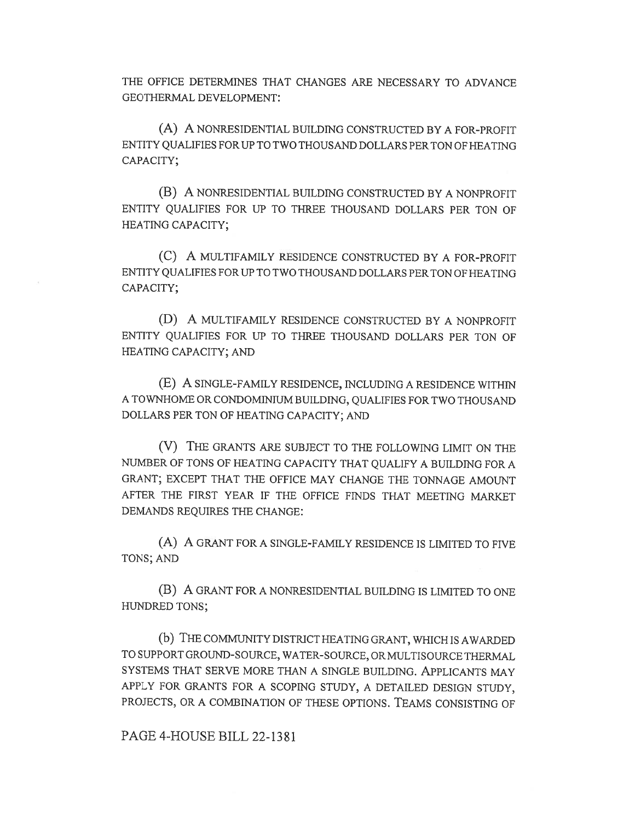THE OFFICE DETERMINES THAT CHANGES ARE NECESSARY TO ADVANCE GEOTHERMAL DEVELOPMENT:

(A) A NONRESIDENTIAL BUILDING CONSTRUCTED BY A FOR-PROFIT ENTITY QUALIFIES FOR UP TO TWO THOUSAND DOLLARS PER TON OF HEATING CAPACITY;

(B) A NONRESIDENTIAL BUILDING CONSTRUCTED BY A NONPROFIT ENTITY QUALIFIES FOR UP TO THREE THOUSAND DOLLARS PER TON OF HEATING CAPACITY;

(C) A MULTIFAMILY RESIDENCE CONSTRUCTED BY A FOR-PROFIT ENTITY QUALIFIES FOR UP TO TWO THOUSAND DOLLARS PER TON OF HEATING CAPACITY;

(D) A MULTIFAMILY RESIDENCE CONSTRUCTED BY A NONPROFIT ENTITY QUALIFIES FOR UP TO THREE THOUSAND DOLLARS PER TON OF HEATING CAPACITY; AND

(E) A SINGLE-FAMILY RESIDENCE, INCLUDING A RESIDENCE WITHIN A TOWNHOME OR CONDOMINIUM BUILDING, QUALIFIES FOR TWO THOUSAND DOLLARS PER TON OF HEATING CAPACITY; AND

(V) THE GRANTS ARE SUBJECT TO THE FOLLOWING LIMIT ON THE NUMBER OF TONS OF HEATING CAPACITY THAT QUALIFY A BUILDING FOR A GRANT; EXCEPT THAT THE OFFICE MAY CHANGE THE TONNAGE AMOUNT AFTER THE FIRST YEAR IF THE OFFICE FINDS THAT MEETING MARKET DEMANDS REQUIRES THE CHANGE:

(A) A GRANT FOR A SINGLE-FAMILY RESIDENCE IS LIMITED TO FIVE TONS; AND

(B) A GRANT FOR A NONRESIDENTIAL BUILDING IS LIMITED TO ONE HUNDRED TONS;

(b) THE COMMUNITY DISTRICT HEATING GRANT, WHICH IS AWARDED TO SUPPORT GROUND-SOURCE, WATER-SOURCE, OR MULTISOURCE THERMAL SYSTEMS THAT SERVE MORE THAN A SINGLE BUILDING. APPLICANTS MAY APPLY FOR GRANTS FOR A SCOPING STUDY, A DETAILED DESIGN STUDY, PROJECTS, OR A COMBINATION OF THESE OPTIONS. TEAMS CONSISTING OF

PAGE 4-HOUSE BILL 22-1381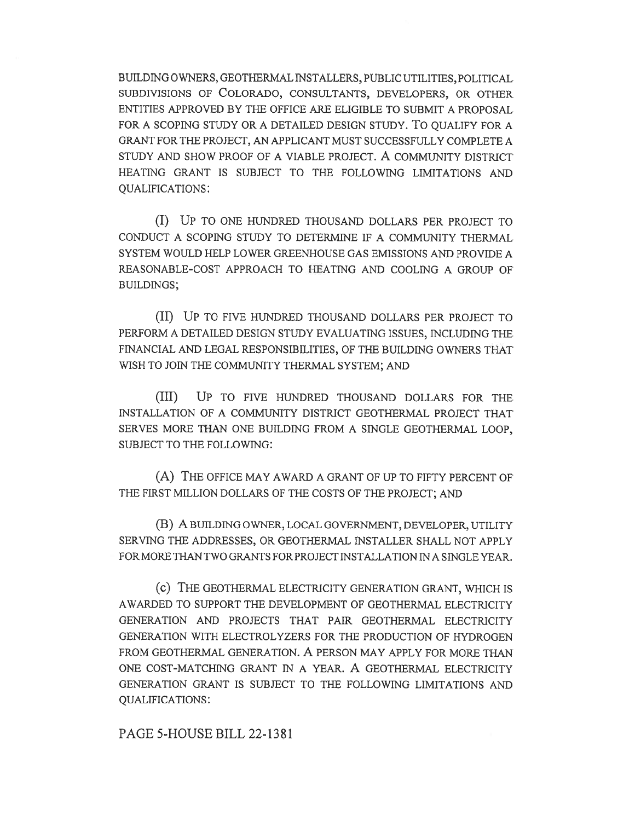BUILDING OWNERS, GEOTHERMAL INSTALLERS, PUBLIC UTILITIES, POLITICAL SUBDIVISIONS OF COLORADO, CONSULTANTS, DEVELOPERS, OR OTHER ENTITIES APPROVED BY THE OFFICE ARE ELIGIBLE TO SUBMIT A PROPOSAL FOR A SCOPING STUDY OR A DETAILED DESIGN STUDY. TO QUALIFY FOR A GRANT FOR THE PROJECT, AN APPLICANT MUST SUCCESSFULLY COMPLETE A STUDY AND SHOW PROOF OF A VIABLE PROJECT. A COMMUNITY DISTRICT HEATING GRANT IS SUBJECT TO THE FOLLOWING LIMITATIONS AND QUALIFICATIONS:

(I) UP TO ONE HUNDRED THOUSAND DOLLARS PER PROJECT TO CONDUCT A SCOPING STUDY TO DETERMINE IF A COMMUNITY THERMAL SYSTEM WOULD HELP LOWER GREENHOUSE GAS EMISSIONS AND PROVIDE A REASONABLE-COST APPROACH TO HEATING AND COOLING A GROUP OF BUILDINGS;

(II) UP TO FIVE HUNDRED THOUSAND DOLLARS PER PROJECT TO PERFORM A DETAILED DESIGN STUDY EVALUATING ISSUES, INCLUDING THE FINANCIAL AND LEGAL RESPONSIBILITIES, OF THE BUILDING OWNERS THAT WISH TO JOIN THE COMMUNITY THERMAL SYSTEM; AND

(III) UP TO FIVE HUNDRED THOUSAND DOLLARS FOR THE INSTALLATION OF A COMMUNITY DISTRICT GEOTHERMAL PROJECT THAT SERVES MORE THAN ONE BUILDING FROM A SINGLE GEOTHERMAL LOOP, SUBJECT TO THE FOLLOWING:

(A) THE OFFICE MAY AWARD A GRANT OF UP TO FIFTY PERCENT OF THE FIRST MILLION DOLLARS OF THE COSTS OF THE PROJECT; AND

(B) A BUILDING OWNER, LOCAL GOVERNMENT, DEVELOPER, UTILITY SERVING THE ADDRESSES, OR GEOTHERMAL INSTALLER SHALL NOT APPLY FOR MORE THAN TWO GRANTS FOR PROJECT INSTALLATION IN A SINGLE YEAR.

(c) THE GEOTHERMAL ELECTRICITY GENERATION GRANT, WHICH IS AWARDED TO SUPPORT THE DEVELOPMENT OF GEOTHERMAL ELECTRICITY GENERATION AND PROJECTS THAT PAIR GEOTHERMAL ELECTRICITY GENERATION WITH ELECTROLYZERS FOR THE PRODUCTION OF HYDROGEN FROM GEOTHERMAL GENERATION. A PERSON MAY APPLY FOR MORE THAN ONE COST-MATCHING GRANT IN A YEAR. A GEOTHERMAL ELECTRICITY GENERATION GRANT IS SUBJECT TO THE FOLLOWING LIMITATIONS AND QUALIFICATIONS:

PAGE 5-HOUSE BILL 22-1381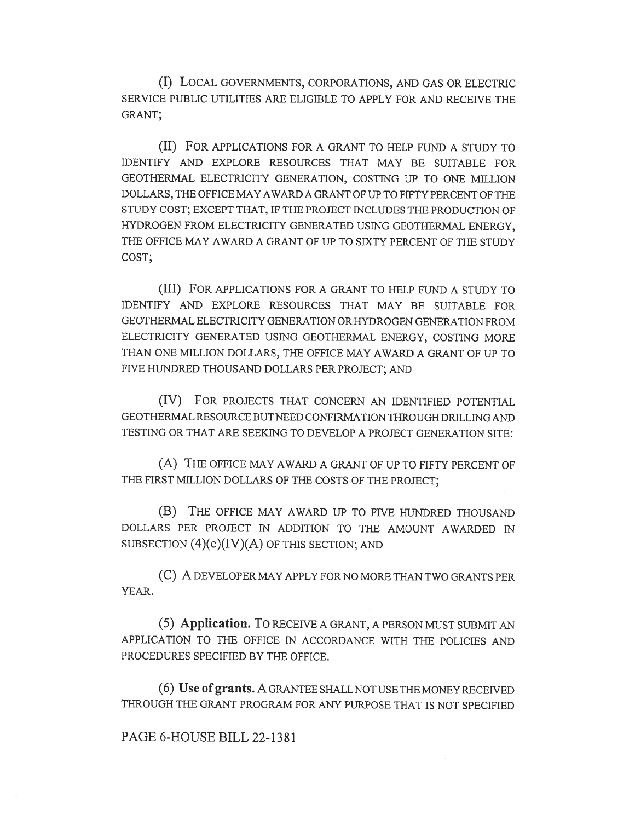(I) LOCAL GOVERNMENTS, CORPORATIONS, AND GAS OR ELECTRIC SERVICE PUBLIC UTILITIES ARE ELIGIBLE TO APPLY FOR AND RECEIVE THE GRANT;

(II) FOR APPLICATIONS FOR A GRANT TO HELP FUND A STUDY TO IDENTIFY AND EXPLORE RESOURCES THAT MAY BE SUITABLE FOR GEOTHERMAL ELECTRICITY GENERATION, COSTING UP TO ONE MILLION DOLLARS, THE OFFICE MAY AWARD A GRANT OF UP TO FIFTY PERCENT OF THE STUDY COST; EXCEPT THAT, IF THE PROJECT INCLUDES THE PRODUCTION OF HYDROGEN FROM ELECTRICITY GENERATED USING GEOTHERMAL ENERGY, THE OFFICE MAY AWARD A GRANT OF UP TO SIXTY PERCENT OF THE STUDY COST;

(III) FOR APPLICATIONS FOR A GRANT TO HELP FUND A STUDY TO IDENTIFY AND EXPLORE RESOURCES THAT MAY BE SUITABLE FOR GEOTHERMAL ELECTRICITY GENERATION OR HYDROGEN GENERATION FROM ELECTRICITY GENERATED USING GEOTHERMAL ENERGY, COSTING MORE THAN ONE MILLION DOLLARS, THE OFFICE MAY AWARD A GRANT OF UP TO FIVE HUNDRED THOUSAND DOLLARS PER PROJECT; AND

(IV) FOR PROJECTS THAT CONCERN AN IDENTIFIED POTENTIAL GEOTHERMAL RESOURCE BUT NEED CONFIRMATION THROUGH DRILLING AND TESTING OR THAT ARE SEEKING TO DEVELOP A PROJECT GENERATION SITE:

(A) THE OFFICE MAY AWARD A GRANT OF UP TO FIFTY PERCENT OF THE FIRST MILLION DOLLARS OF THE COSTS OF THE PROJECT;

(B) THE OFFICE MAY AWARD UP TO FIVE HUNDRED THOUSAND DOLLARS PER PROJECT IN ADDITION TO THE AMOUNT AWARDED IN SUBSECTION  $(4)(c)(IV)(A)$  OF THIS SECTION; AND

(C) A DEVELOPER MAY APPLY FOR NO MORE THAN TWO GRANTS PER YEAR.

(5) Application. To RECEIVE A GRANT, A PERSON MUST SUBMIT AN APPLICATION TO THE OFFICE IN ACCORDANCE WITH THE POLICIES AND PROCEDURES SPECIFIED BY THE OFFICE.

(6) Use of grants. A GRANTEE SHALL NOT USE THE MONEY RECEIVED THROUGH THE GRANT PROGRAM FOR ANY PURPOSE THAT IS NOT SPECIFIED

## PAGE 6-HOUSE BILL 22-1381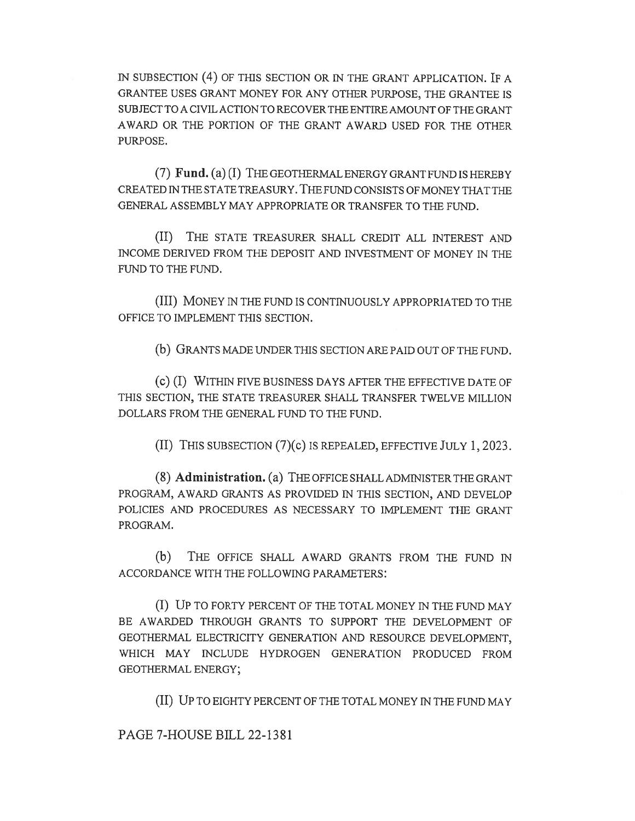IN SUBSECTION (4) OF THIS SECTION OR IN THE GRANT APPLICATION. IF A GRANTEE USES GRANT MONEY FOR ANY OTHER PURPOSE, THE GRANTEE IS SUBJECT TO A CIVIL ACTION TO RECOVER THE ENTIRE AMOUNT OF THE GRANT AWARD OR THE PORTION OF THE GRANT AWARD USED FOR THE OTHER PURPOSE.

(7) Fund. (a) (I) THE GEOTHERMAL ENERGY GRANT FUND IS HEREBY CREATED IN THE STATE TREASURY. THE FUND CONSISTS OF MONEY THAT THE GENERAL ASSEMBLY MAY APPROPRIATE OR TRANSFER TO THE FUND.

(II) THE STATE TREASURER SHALL CREDIT ALL INTEREST AND INCOME DERIVED FROM THE DEPOSIT AND INVESTMENT OF MONEY IN THE FUND TO THE FUND.

(III) MONEY IN THE FUND IS CONTINUOUSLY APPROPRIATED TO THE OFFICE TO IMPLEMENT THIS SECTION.

(b) GRANTS MADE UNDER THIS SECTION ARE PAID OUT OF THE FUND.

(c) (I) WITHIN FIVE BUSINESS DAYS AFTER THE EFFECTIVE DATE OF THIS SECTION, THE STATE TREASURER SHALL TRANSFER TWELVE MILLION DOLLARS FROM THE GENERAL FUND TO THE FUND.

(II) THIS SUBSECTION (7)(c) IS REPEALED, EFFECTIVE JULY 1, 2023.

(8) Administration. (a) THE OFFICE SHALL ADMINISTER THE GRANT PROGRAM, AWARD GRANTS AS PROVIDED IN THIS SECTION, AND DEVELOP POLICIES AND PROCEDURES AS NECESSARY TO IMPLEMENT THE GRANT PROGRAM.

(b) THE OFFICE SHALL AWARD GRANTS FROM THE FUND IN ACCORDANCE WITH THE FOLLOWING PARAMETERS:

(I) UP TO FORTY PERCENT OF THE TOTAL MONEY IN THE FUND MAY BE AWARDED THROUGH GRANTS TO SUPPORT THE DEVELOPMENT OF GEOTHERMAL ELECTRICITY GENERATION AND RESOURCE DEVELOPMENT, WHICH MAY INCLUDE HYDROGEN GENERATION PRODUCED FROM GEOTHERMAL ENERGY;

(II) UP TO EIGHTY PERCENT OF THE TOTAL MONEY IN THE FUND MAY

PAGE 7-HOUSE BILL 22-1381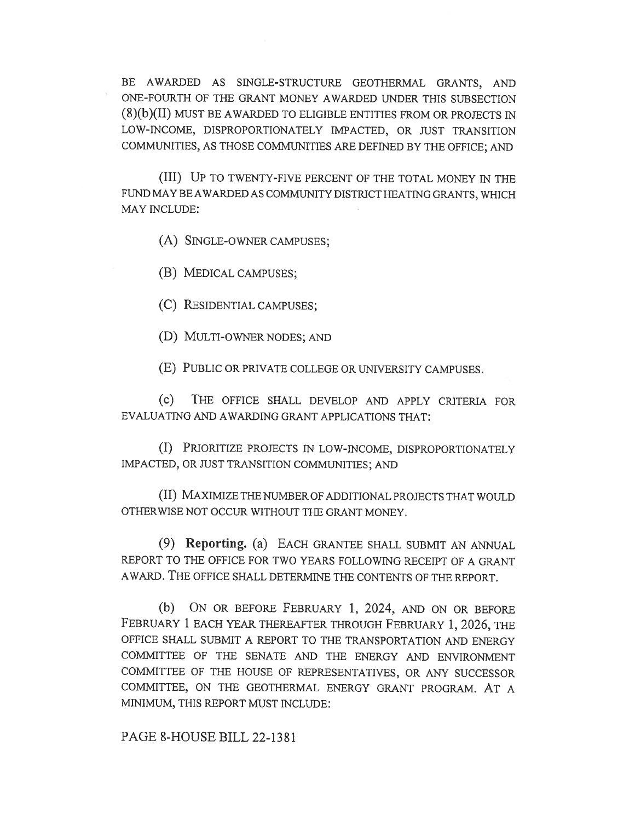BE AWARDED AS SINGLE-STRUCTURE GEOTHERMAL GRANTS, AND ONE-FOURTH OF THE GRANT MONEY AWARDED UNDER THIS SUBSECTION (8)(b)(II) MUST BE AWARDED TO ELIGIBLE ENTITIES FROM OR PROJECTS IN LOW-INCOME, DISPROPORTIONATELY IMPACTED, OR JUST TRANSITION COMMUNITIES, AS THOSE COMMUNITIES ARE DEFINED BY THE OFFICE; AND

(III) UP TO TWENTY-FIVE PERCENT OF THE TOTAL MONEY IN THE FUND MAY BE AWARDED AS COMMUNITY DISTRICT HEATING GRANTS, WHICH MAY INCLUDE:

(A) SINGLE-OWNER CAMPUSES;

(B) MEDICAL CAMPUSES;

(C) RESIDENTIAL CAMPUSES;

(D) MULTI-OWNER NODES; AND

(E) PUBLIC OR PRIVATE COLLEGE OR UNIVERSITY CAMPUSES.

(c) THE OFFICE SHALL DEVELOP AND APPLY CRITERIA FOR EVALUATING AND AWARDING GRANT APPLICATIONS THAT:

(I) PRIORITIZE PROJECTS IN LOW-INCOME, DISPROPORTIONATELY IMPACTED, OR JUST TRANSITION COMMUNITIES; AND

(II) MAXIMIZE THE NUMBER OF ADDITIONAL PROJECTS THAT WOULD OTHERWISE NOT OCCUR WITHOUT THE GRANT MONEY.

(9) Reporting. (a) EACH GRANTEE SHALL SUBMIT AN ANNUAL REPORT TO THE OFFICE FOR TWO YEARS FOLLOWING RECEIPT OF A GRANT AWARD. THE OFFICE SHALL DETERMINE THE CONTENTS OF THE REPORT.

(b) ON OR BEFORE FEBRUARY 1, 2024, AND ON OR BEFORE FEBRUARY 1 EACH YEAR THEREAFTER THROUGH FEBRUARY 1, 2026, THE OFFICE SHALL SUBMIT A REPORT TO THE TRANSPORTATION AND ENERGY COMMITTEE OF THE SENATE AND THE ENERGY AND ENVIRONMENT COMMITTEE OF THE HOUSE OF REPRESENTATIVES, OR ANY SUCCESSOR COMMITTEE, ON THE GEOTHERMAL ENERGY GRANT PROGRAM. AT A MINIMUM, THIS REPORT MUST INCLUDE:

PAGE 8-HOUSE BILL 22-1381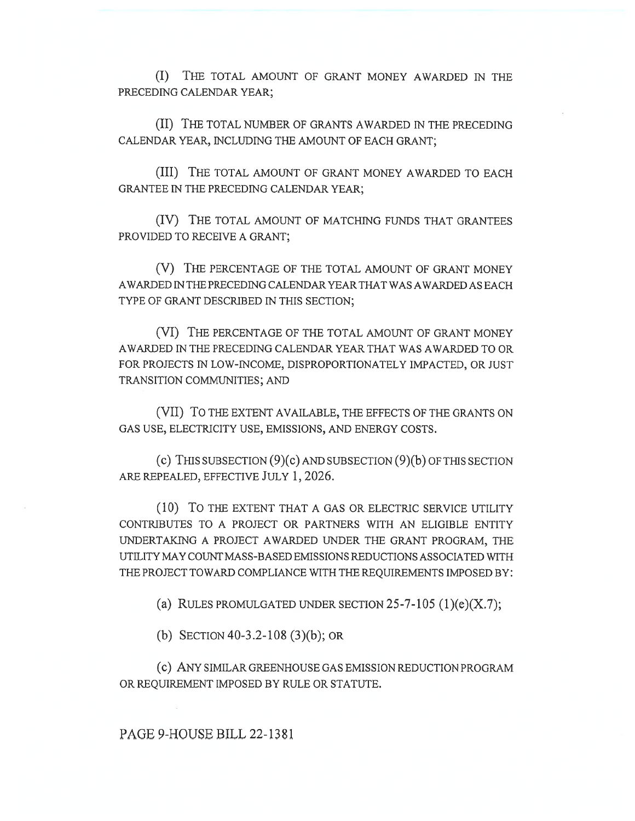(I) THE TOTAL AMOUNT OF GRANT MONEY AWARDED IN THE PRECEDING CALENDAR YEAR;

(II) THE TOTAL NUMBER OF GRANTS AWARDED IN THE PRECEDING CALENDAR YEAR, INCLUDING THE AMOUNT OF EACH GRANT;

(III) THE TOTAL AMOUNT OF GRANT MONEY AWARDED TO EACH GRANTEE IN THE PRECEDING CALENDAR YEAR;

(IV) THE TOTAL AMOUNT OF MATCHING FUNDS THAT GRANTEES PROVIDED TO RECEIVE A GRANT;

(V) THE PERCENTAGE OF THE TOTAL AMOUNT OF GRANT MONEY AWARDED IN THE PRECEDING CALENDAR YEAR THAT WAS AWARDED AS EACH TYPE OF GRANT DESCRIBED IN THIS SECTION;

(VI) THE PERCENTAGE OF THE TOTAL AMOUNT OF GRANT MONEY AWARDED IN THE PRECEDING CALENDAR YEAR THAT WAS AWARDED TO OR FOR PROJECTS IN LOW-INCOME, DISPROPORTIONATELY IMPACTED, OR JUST TRANSITION COMMUNITIES; AND

(VII) To THE EXTENT AVAILABLE, THE EFFECTS OF THE GRANTS ON GAS USE, ELECTRICITY USE, EMISSIONS, AND ENERGY COSTS.

(c) THIS SUBSECTION (9)(c) AND SUBSECTION (9)(b) OF THIS SECTION ARE REPEALED, EFFECTIVE JULY 1, 2026.

(10) To THE EXTENT THAT A GAS OR ELECTRIC SERVICE UTILITY CONTRIBUTES TO A PROJECT OR PARTNERS WITH AN ELIGIBLE ENTITY UNDERTAKING A PROJECT AWARDED UNDER THE GRANT PROGRAM, THE UTILITY MAY COUNT MASS-BASED EMISSIONS REDUCTIONS ASSOCIATED WITH THE PROJECT TOWARD COMPLIANCE WITH THE REQUIREMENTS IMPOSED BY:

(a) RULES PROMULGATED UNDER SECTION  $25-7-105$  (1)(e)(X.7);

(b) SECTION 40-3.2-108 (3)(b); OR

(C) ANY SIMILAR GREENHOUSE GAS EMISSION REDUCTION PROGRAM OR REQUIREMENT IMPOSED BY RULE OR STATUTE.

PAGE 9-HOUSE BILL 22-1381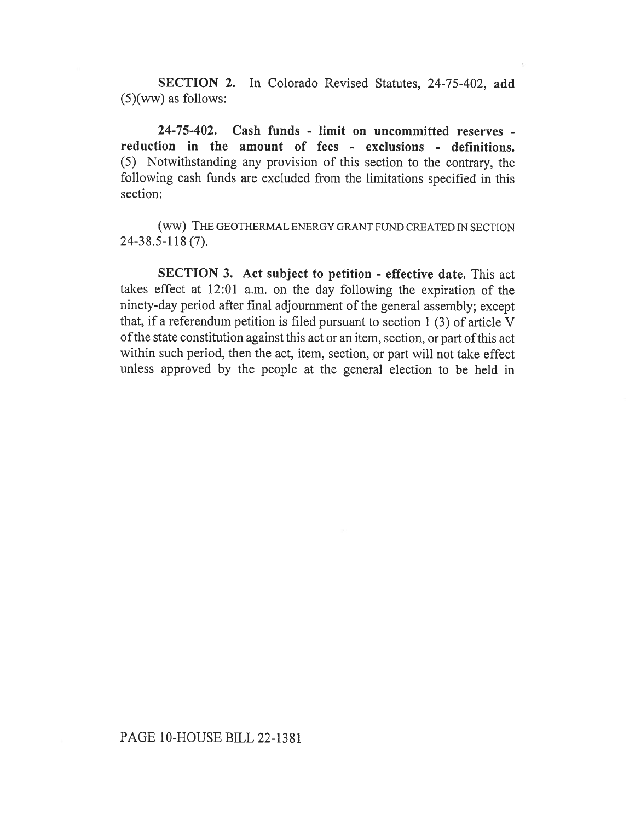SECTION 2. In Colorado Revised Statutes, 24-75-402, add (5)(ww) as follows:

24-75-402. Cash funds - limit on uncommitted reserves reduction in the amount of fees - exclusions - definitions. (5) Notwithstanding any provision of this section to the contrary, the following cash funds are excluded from the limitations specified in this section:

(WW) THE GEOTHERMAL ENERGY GRANT FUND CREATED IN SECTION 24-38.5-118 (7).

SECTION 3. Act subject to petition - effective date. This act takes effect at 12:01 a.m. on the day following the expiration of the ninety-day period after final adjournment of the general assembly; except that, if a referendum petition is filed pursuant to section 1 (3) of article V of the state constitution against this act or an item, section, or part of this act within such period, then the act, item, section, or part will not take effect unless approved by the people at the general election to be held in

## PAGE 10-HOUSE BILL 22-1381